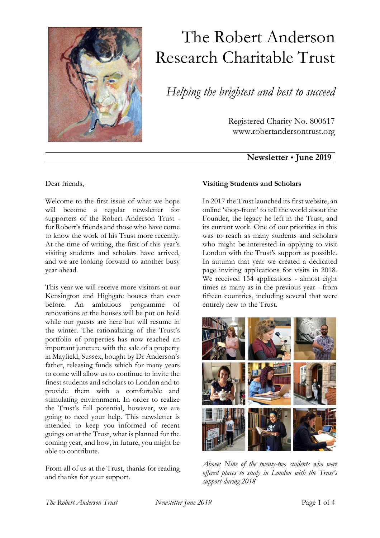

# The Robert Anderson Research Charitable Trust

*Helping the brightest and best to succeed*

Registered Charity No. 800617 www.robertandersontrust.org

## **Newsletter June 2019**

Dear friends,

Welcome to the first issue of what we hope will become a regular newsletter for supporters of the Robert Anderson Trust for Robert's friends and those who have come to know the work of his Trust more recently. At the time of writing, the first of this year's visiting students and scholars have arrived, and we are looking forward to another busy year ahead.

This year we will receive more visitors at our Kensington and Highgate houses than ever before. An ambitious programme of renovations at the houses will be put on hold while our guests are here but will resume in the winter. The rationalizing of the Trust's portfolio of properties has now reached an important juncture with the sale of a property in Mayfield, Sussex, bought by Dr Anderson's father, releasing funds which for many years to come will allow us to continue to invite the finest students and scholars to London and to provide them with a comfortable and stimulating environment. In order to realize the Trust's full potential, however, we are going to need your help. This newsletter is intended to keep you informed of recent goings on at the Trust, what is planned for the coming year, and how, in future, you might be able to contribute.

From all of us at the Trust, thanks for reading and thanks for your support.

## **Visiting Students and Scholars**

In 2017 the Trust launched its first website, an online 'shop-front' to tell the world about the Founder, the legacy he left in the Trust, and its current work. One of our priorities in this was to reach as many students and scholars who might be interested in applying to visit London with the Trust's support as possible. In autumn that year we created a dedicated page inviting applications for visits in 2018. We received 154 applications - almost eight times as many as in the previous year - from fifteen countries, including several that were entirely new to the Trust.



*Above: Nine of the twenty-two students who were offered places to study in London with the Trust's support during 2018*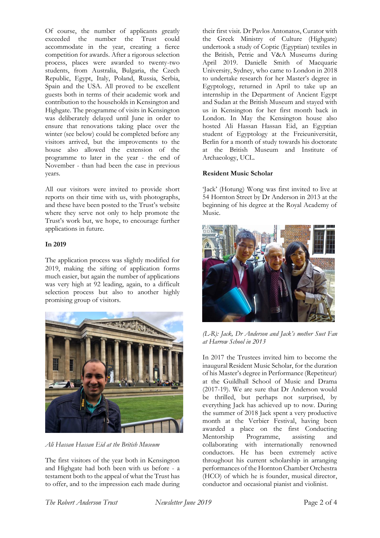Of course, the number of applicants greatly exceeded the number the Trust could accommodate in the year, creating a fierce competition for awards. After a rigorous selection process, places were awarded to twenty-two students, from Australia, Bulgaria, the Czech Republic, Egypt, Italy, Poland, Russia, Serbia, Spain and the USA. All proved to be excellent guests both in terms of their academic work and contribution to the households in Kensington and Highgate. The programme of visits in Kensington was deliberately delayed until June in order to ensure that renovations taking place over the winter (see below) could be completed before any visitors arrived, but the improvements to the house also allowed the extension of the programme to later in the year - the end of November - than had been the case in previous years.

All our visitors were invited to provide short reports on their time with us, with photographs, and these have been posted to the Trust's website where they serve not only to help promote the Trust's work but, we hope, to encourage further applications in future.

#### **In 2019**

The application process was slightly modified for 2019, making the sifting of application forms much easier, but again the number of applications was very high at 92 leading, again, to a difficult selection process but also to another highly promising group of visitors.



*Ali Hassan Hassan Eid at the British Museum*

The first visitors of the year both in Kensington and Highgate had both been with us before - a testament both to the appeal of what the Trust has to offer, and to the impression each made during their first visit. Dr Pavlos Antonatos, Curator with the Greek Ministry of Culture (Highgate) undertook a study of Coptic (Egyptian) textiles in the British, Petrie and V&A Museums during April 2019. Danielle Smith of Macquarie University, Sydney, who came to London in 2018 to undertake research for her Master's degree in Egyptology, returned in April to take up an internship in the Department of Ancient Egypt and Sudan at the British Museum and stayed with us in Kensington for her first month back in London. In May the Kensington house also hosted Ali Hassan Hassan Eid, an Egyptian student of Egyptology at the Freieuniversität, Berlin for a month of study towards his doctorate at the British Museum and Institute of Archaeology, UCL.

### **Resident Music Scholar**

'Jack' (Hotung) Wong was first invited to live at 54 Hornton Street by Dr Anderson in 2013 at the beginning of his degree at the Royal Academy of Music.



*(L-R): Jack, Dr Anderson and Jack's mother Suet Fan at Harrow School in 2013*

In 2017 the Trustees invited him to become the inaugural Resident Music Scholar, for the duration of his Master's degree in Performance (Repetiteur) at the Guildhall School of Music and Drama (2017-19). We are sure that Dr Anderson would be thrilled, but perhaps not surprised, by everything Jack has achieved up to now. During the summer of 2018 Jack spent a very productive month at the Verbier Festival, having been awarded a place on the first Conducting Mentorship Programme, assisting and collaborating with internationally renowned conductors. He has been extremely active throughout his current scholarship in arranging performances of the Hornton Chamber Orchestra (HCO) of which he is founder, musical director, conductor and occasional pianist and violinist.

*The Robert Anderson Trust Newsletter June 2019* Page 2 of 4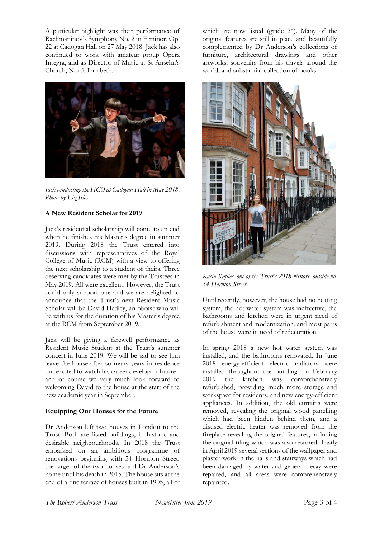A particular highlight was their performance of Rachmaninov's Symphony No. 2 in E minor, Op. 22 at Cadogan Hall on 27 May 2018. Jack has also continued to work with amateur group Opera Integra, and as Director of Music at St Anselm's Church, North Lambeth.



*Jack conducting the HCO at Cadogan Hall in May 2018. Photo by Liz Isles*

### **A New Resident Scholar for 2019**

Jack's residential scholarship will come to an end when he finishes his Master's degree in summer 2019. During 2018 the Trust entered into discussions with representatives of the Royal College of Music (RCM) with a view to offering the next scholarship to a student of theirs. Three deserving candidates were met by the Trustees in May 2019. All were excellent. However, the Trust could only support one and we are delighted to announce that the Trust's next Resident Music Scholar will be David Hedley, an oboist who will be with us for the duration of his Master's degree at the RCM from September 2019.

Jack will be giving a farewell performance as Resident Music Student at the Trust's summer concert in June 2019. We will be sad to see him leave the house after so many years in residence but excited to watch his career develop in future and of course we very much look forward to welcoming David to the house at the start of the new academic year in September.

#### **Equipping Our Houses for the Future**

Dr Anderson left two houses in London to the Trust. Both are listed buildings, in historic and desirable neighbourhoods. In 2018 the Trust embarked on an ambitious programme of renovations beginning with 54 Hornton Street, the larger of the two houses and Dr Anderson's home until his death in 2015. The house sits at the end of a fine terrace of houses built in 1905, all of which are now listed (grade 2\*). Many of the original features are still in place and beautifully complemented by Dr Anderson's collections of furniture, architectural drawings and other artworks, souvenirs from his travels around the world, and substantial collection of books.



*Kasia Kapiec, one of the Trust's 2018 visitors, outside no. 54 Hornton Street*

Until recently, however, the house had no heating system, the hot water system was ineffective, the bathrooms and kitchen were in urgent need of refurbishment and modernization, and most parts of the house were in need of redecoration.

In spring 2018 a new hot water system was installed, and the bathrooms renovated. In June 2018 energy-efficient electric radiators were installed throughout the building. In February 2019 the kitchen was comprehensively refurbished, providing much more storage and workspace for residents, and new energy-efficient appliances. In addition, the old curtains were removed, revealing the original wood panelling which had been hidden behind them, and a disused electric heater was removed from the fireplace revealing the original features, including the original tiling which was also restored. Lastly in April 2019 several sections of the wallpaper and plaster work in the halls and stairways which had been damaged by water and general decay were repaired, and all areas were comprehensively repainted.